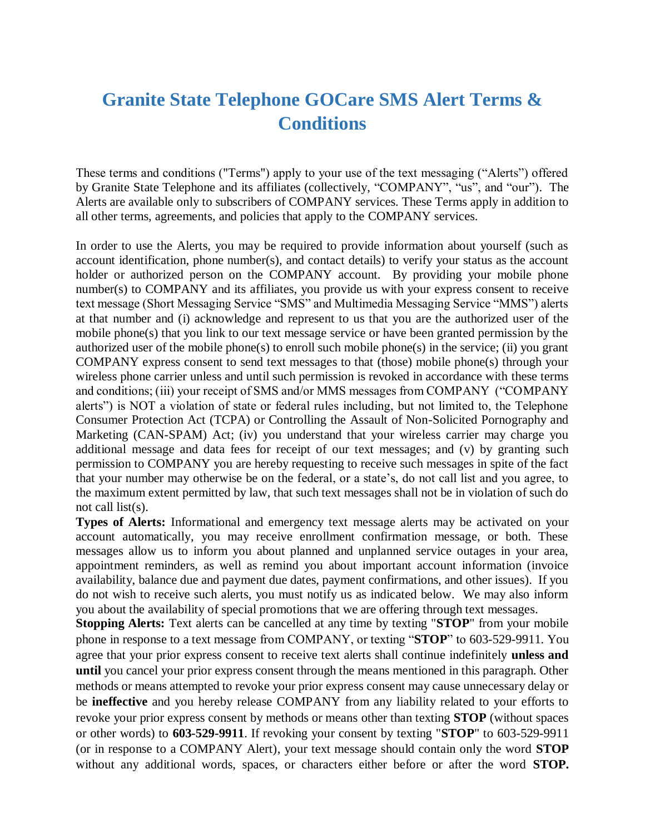## **Granite State Telephone GOCare SMS Alert Terms & Conditions**

These terms and conditions ("Terms") apply to your use of the text messaging ("Alerts") offered by Granite State Telephone and its affiliates (collectively, "COMPANY", "us", and "our"). The Alerts are available only to subscribers of COMPANY services. These Terms apply in addition to all other terms, agreements, and policies that apply to the COMPANY services.

In order to use the Alerts, you may be required to provide information about yourself (such as account identification, phone number(s), and contact details) to verify your status as the account holder or authorized person on the COMPANY account. By providing your mobile phone number(s) to COMPANY and its affiliates, you provide us with your express consent to receive text message (Short Messaging Service "SMS" and Multimedia Messaging Service "MMS") alerts at that number and (i) acknowledge and represent to us that you are the authorized user of the mobile phone(s) that you link to our text message service or have been granted permission by the authorized user of the mobile phone(s) to enroll such mobile phone(s) in the service; (ii) you grant COMPANY express consent to send text messages to that (those) mobile phone(s) through your wireless phone carrier unless and until such permission is revoked in accordance with these terms and conditions; (iii) your receipt of SMS and/or MMS messages from COMPANY ("COMPANY alerts") is NOT a violation of state or federal rules including, but not limited to, the Telephone Consumer Protection Act (TCPA) or Controlling the Assault of Non-Solicited Pornography and Marketing (CAN-SPAM) Act; (iv) you understand that your wireless carrier may charge you additional message and data fees for receipt of our text messages; and (v) by granting such permission to COMPANY you are hereby requesting to receive such messages in spite of the fact that your number may otherwise be on the federal, or a state's, do not call list and you agree, to the maximum extent permitted by law, that such text messages shall not be in violation of such do not call list(s).

**Types of Alerts:** Informational and emergency text message alerts may be activated on your account automatically, you may receive enrollment confirmation message, or both. These messages allow us to inform you about planned and unplanned service outages in your area, appointment reminders, as well as remind you about important account information (invoice availability, balance due and payment due dates, payment confirmations, and other issues). If you do not wish to receive such alerts, you must notify us as indicated below. We may also inform you about the availability of special promotions that we are offering through text messages.

**Stopping Alerts:** Text alerts can be cancelled at any time by texting "**STOP**" from your mobile phone in response to a text message from COMPANY, or texting "**STOP**" to 603-529-9911. You agree that your prior express consent to receive text alerts shall continue indefinitely **unless and until** you cancel your prior express consent through the means mentioned in this paragraph. Other methods or means attempted to revoke your prior express consent may cause unnecessary delay or be **ineffective** and you hereby release COMPANY from any liability related to your efforts to revoke your prior express consent by methods or means other than texting **STOP** (without spaces or other words) to **603-529-9911**. If revoking your consent by texting "**STOP**" to 603-529-9911 (or in response to a COMPANY Alert), your text message should contain only the word **STOP**  without any additional words, spaces, or characters either before or after the word **STOP.**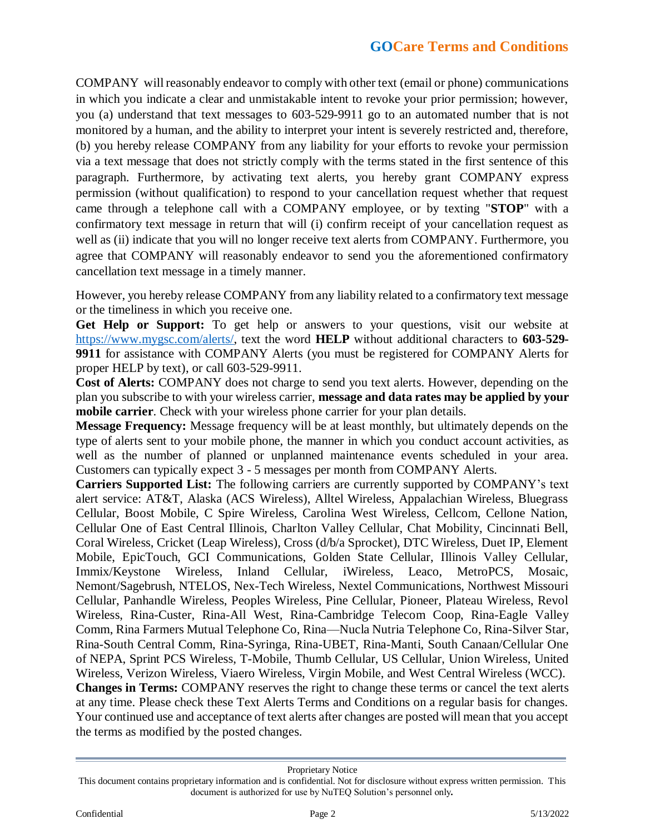COMPANY will reasonably endeavor to comply with other text (email or phone) communications in which you indicate a clear and unmistakable intent to revoke your prior permission; however, you (a) understand that text messages to 603-529-9911 go to an automated number that is not monitored by a human, and the ability to interpret your intent is severely restricted and, therefore, (b) you hereby release COMPANY from any liability for your efforts to revoke your permission via a text message that does not strictly comply with the terms stated in the first sentence of this paragraph. Furthermore, by activating text alerts, you hereby grant COMPANY express permission (without qualification) to respond to your cancellation request whether that request came through a telephone call with a COMPANY employee, or by texting "**STOP**" with a confirmatory text message in return that will (i) confirm receipt of your cancellation request as well as (ii) indicate that you will no longer receive text alerts from COMPANY. Furthermore, you agree that COMPANY will reasonably endeavor to send you the aforementioned confirmatory cancellation text message in a timely manner.

However, you hereby release COMPANY from any liability related to a confirmatory text message or the timeliness in which you receive one.

**Get Help or Support:** To get help or answers to your questions, visit our website at https://www.mygsc.com/alerts/, text the word **HELP** without additional characters to **603-529- 9911** for assistance with COMPANY Alerts (you must be registered for COMPANY Alerts for proper HELP by text), or call 603-529-9911.

**Cost of Alerts:** COMPANY does not charge to send you text alerts. However, depending on the plan you subscribe to with your wireless carrier, **message and data rates may be applied by your mobile carrier**. Check with your wireless phone carrier for your plan details.

**Message Frequency:** Message frequency will be at least monthly, but ultimately depends on the type of alerts sent to your mobile phone, the manner in which you conduct account activities, as well as the number of planned or unplanned maintenance events scheduled in your area. Customers can typically expect 3 - 5 messages per month from COMPANY Alerts.

**Carriers Supported List:** The following carriers are currently supported by COMPANY's text alert service: AT&T, Alaska (ACS Wireless), Alltel Wireless, Appalachian Wireless, Bluegrass Cellular, Boost Mobile, C Spire Wireless, Carolina West Wireless, Cellcom, Cellone Nation, Cellular One of East Central Illinois, Charlton Valley Cellular, Chat Mobility, Cincinnati Bell, Coral Wireless, Cricket (Leap Wireless), Cross (d/b/a Sprocket), DTC Wireless, Duet IP, Element Mobile, EpicTouch, GCI Communications, Golden State Cellular, Illinois Valley Cellular, Immix/Keystone Wireless, Inland Cellular, iWireless, Leaco, MetroPCS, Mosaic, Nemont/Sagebrush, NTELOS, Nex-Tech Wireless, Nextel Communications, Northwest Missouri Cellular, Panhandle Wireless, Peoples Wireless, Pine Cellular, Pioneer, Plateau Wireless, Revol Wireless, Rina-Custer, Rina-All West, Rina-Cambridge Telecom Coop, Rina-Eagle Valley Comm, Rina Farmers Mutual Telephone Co, Rina—Nucla Nutria Telephone Co, Rina-Silver Star, Rina-South Central Comm, Rina-Syringa, Rina-UBET, Rina-Manti, South Canaan/Cellular One of NEPA, Sprint PCS Wireless, T-Mobile, Thumb Cellular, US Cellular, Union Wireless, United Wireless, Verizon Wireless, Viaero Wireless, Virgin Mobile, and West Central Wireless (WCC). **Changes in Terms:** COMPANY reserves the right to change these terms or cancel the text alerts at any time. Please check these Text Alerts Terms and Conditions on a regular basis for changes. Your continued use and acceptance of text alerts after changes are posted will mean that you accept the terms as modified by the posted changes.

Proprietary Notice

This document contains proprietary information and is confidential. Not for disclosure without express written permission. This document is authorized for use by NuTEQ Solution's personnel only*.*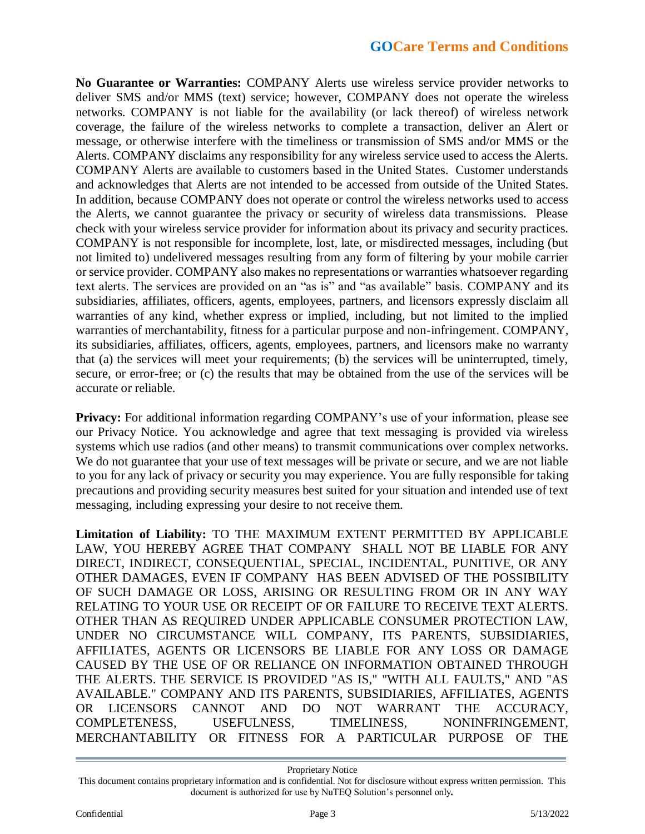## **GOCare Terms and Conditions**

**No Guarantee or Warranties:** COMPANY Alerts use wireless service provider networks to deliver SMS and/or MMS (text) service; however, COMPANY does not operate the wireless networks. COMPANY is not liable for the availability (or lack thereof) of wireless network coverage, the failure of the wireless networks to complete a transaction, deliver an Alert or message, or otherwise interfere with the timeliness or transmission of SMS and/or MMS or the Alerts. COMPANY disclaims any responsibility for any wireless service used to access the Alerts. COMPANY Alerts are available to customers based in the United States. Customer understands and acknowledges that Alerts are not intended to be accessed from outside of the United States. In addition, because COMPANY does not operate or control the wireless networks used to access the Alerts, we cannot guarantee the privacy or security of wireless data transmissions. Please check with your wireless service provider for information about its privacy and security practices. COMPANY is not responsible for incomplete, lost, late, or misdirected messages, including (but not limited to) undelivered messages resulting from any form of filtering by your mobile carrier or service provider. COMPANY also makes no representations or warranties whatsoever regarding text alerts. The services are provided on an "as is" and "as available" basis. COMPANY and its subsidiaries, affiliates, officers, agents, employees, partners, and licensors expressly disclaim all warranties of any kind, whether express or implied, including, but not limited to the implied warranties of merchantability, fitness for a particular purpose and non-infringement. COMPANY, its subsidiaries, affiliates, officers, agents, employees, partners, and licensors make no warranty that (a) the services will meet your requirements; (b) the services will be uninterrupted, timely, secure, or error-free; or (c) the results that may be obtained from the use of the services will be accurate or reliable.

**Privacy:** For additional information regarding COMPANY's use of your information, please see our Privacy Notice. You acknowledge and agree that text messaging is provided via wireless systems which use radios (and other means) to transmit communications over complex networks. We do not guarantee that your use of text messages will be private or secure, and we are not liable to you for any lack of privacy or security you may experience. You are fully responsible for taking precautions and providing security measures best suited for your situation and intended use of text messaging, including expressing your desire to not receive them.

**Limitation of Liability:** TO THE MAXIMUM EXTENT PERMITTED BY APPLICABLE LAW, YOU HEREBY AGREE THAT COMPANY SHALL NOT BE LIABLE FOR ANY DIRECT, INDIRECT, CONSEQUENTIAL, SPECIAL, INCIDENTAL, PUNITIVE, OR ANY OTHER DAMAGES, EVEN IF COMPANY HAS BEEN ADVISED OF THE POSSIBILITY OF SUCH DAMAGE OR LOSS, ARISING OR RESULTING FROM OR IN ANY WAY RELATING TO YOUR USE OR RECEIPT OF OR FAILURE TO RECEIVE TEXT ALERTS. OTHER THAN AS REQUIRED UNDER APPLICABLE CONSUMER PROTECTION LAW, UNDER NO CIRCUMSTANCE WILL COMPANY, ITS PARENTS, SUBSIDIARIES, AFFILIATES, AGENTS OR LICENSORS BE LIABLE FOR ANY LOSS OR DAMAGE CAUSED BY THE USE OF OR RELIANCE ON INFORMATION OBTAINED THROUGH THE ALERTS. THE SERVICE IS PROVIDED "AS IS," "WITH ALL FAULTS," AND "AS AVAILABLE." COMPANY AND ITS PARENTS, SUBSIDIARIES, AFFILIATES, AGENTS OR LICENSORS CANNOT AND DO NOT WARRANT THE ACCURACY, COMPLETENESS, USEFULNESS, TIMELINESS, NONINFRINGEMENT, MERCHANTABILITY OR FITNESS FOR A PARTICULAR PURPOSE OF THE

Proprietary Notice

This document contains proprietary information and is confidential. Not for disclosure without express written permission. This document is authorized for use by NuTEQ Solution's personnel only*.*